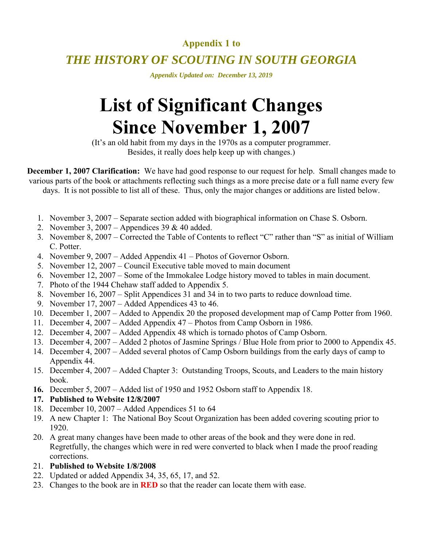# **Appendix 1 to**

# *THE HISTORY OF SCOUTING IN SOUTH GEORGIA*

*Appendix Updated on: December 13, 2019* 

# **List of Significant Changes Since November 1, 2007**

(It's an old habit from my days in the 1970s as a computer programmer. Besides, it really does help keep up with changes.)

**December 1, 2007 Clarification:** We have had good response to our request for help. Small changes made to various parts of the book or attachments reflecting such things as a more precise date or a full name every few days. It is not possible to list all of these. Thus, only the major changes or additions are listed below.

- 1. November 3, 2007 Separate section added with biographical information on Chase S. Osborn.
- 2. November 3, 2007 Appendices 39 & 40 added.
- 3. November 8, 2007 Corrected the Table of Contents to reflect "C" rather than "S" as initial of William C. Potter.
- 4. November 9, 2007 Added Appendix 41 Photos of Governor Osborn.
- 5. November 12, 2007 Council Executive table moved to main document
- 6. November 12, 2007 Some of the Immokalee Lodge history moved to tables in main document.
- 7. Photo of the 1944 Chehaw staff added to Appendix 5.
- 8. November 16, 2007 Split Appendices 31 and 34 in to two parts to reduce download time.
- 9. November 17, 2007 Added Appendices 43 to 46.
- 10. December 1, 2007 Added to Appendix 20 the proposed development map of Camp Potter from 1960.
- 11. December 4, 2007 Added Appendix 47 Photos from Camp Osborn in 1986.
- 12. December 4, 2007 Added Appendix 48 which is tornado photos of Camp Osborn.
- 13. December 4, 2007 Added 2 photos of Jasmine Springs / Blue Hole from prior to 2000 to Appendix 45.
- 14. December 4, 2007 Added several photos of Camp Osborn buildings from the early days of camp to Appendix 44.
- 15. December 4, 2007 Added Chapter 3: Outstanding Troops, Scouts, and Leaders to the main history book.
- **16.** December 5, 2007 Added list of 1950 and 1952 Osborn staff to Appendix 18.
- **17. Published to Website 12/8/2007**
- 18. December 10, 2007 Added Appendices 51 to 64
- 19. A new Chapter 1: The National Boy Scout Organization has been added covering scouting prior to 1920.
- 20. A great many changes have been made to other areas of the book and they were done in red. Regretfully, the changes which were in red were converted to black when I made the proof reading corrections.
- 21. **Published to Website 1/8/2008**
- 22. Updated or added Appendix 34, 35, 65, 17, and 52.
- 23. Changes to the book are in **RED** so that the reader can locate them with ease.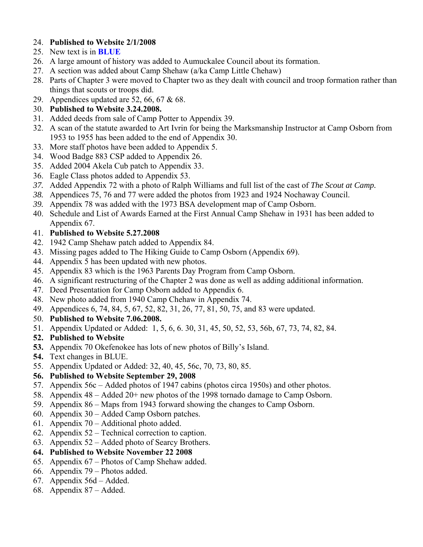# 24. **Published to Website 2/1/2008**

- 25. New text is in **BLUE**
- 26. A large amount of history was added to Aumuckalee Council about its formation.
- 27. A section was added about Camp Shehaw (a/ka Camp Little Chehaw)
- 28. Parts of Chapter 3 were moved to Chapter two as they dealt with council and troop formation rather than things that scouts or troops did.
- 29. Appendices updated are 52, 66, 67 & 68.
- 30. **Published to Website 3.24.2008.**
- 31. Added deeds from sale of Camp Potter to Appendix 39.
- 32. A scan of the statute awarded to Art Ivrin for being the Marksmanship Instructor at Camp Osborn from 1953 to 1955 has been added to the end of Appendix 30.
- 33. More staff photos have been added to Appendix 5.
- 34. Wood Badge 883 CSP added to Appendix 26.
- 35. Added 2004 Akela Cub patch to Appendix 33.
- 36. Eagle Class photos added to Appendix 53.
- *37.* Added Appendix 72 with a photo of Ralph Williams and full list of the cast of *The Scout at Camp.*
- *38.* Appendices 75, 76 and 77 were added the photos from 1923 and 1924 Nochaway Council.
- *39.* Appendix 78 was added with the 1973 BSA development map of Camp Osborn.
- 40. Schedule and List of Awards Earned at the First Annual Camp Shehaw in 1931 has been added to Appendix 67.
- 41. **Published to Website 5.27.2008**
- 42. 1942 Camp Shehaw patch added to Appendix 84.
- 43. Missing pages added to The Hiking Guide to Camp Osborn (Appendix 69).
- 44. Appendix 5 has been updated with new photos.
- 45. Appendix 83 which is the 1963 Parents Day Program from Camp Osborn.
- 46. A significant restructuring of the Chapter 2 was done as well as adding additional information.
- 47. Deed Presentation for Camp Osborn added to Appendix 6.
- 48. New photo added from 1940 Camp Chehaw in Appendix 74.
- 49. Appendices 6, 74, 84, 5, 67, 52, 82, 31, 26, 77, 81, 50, 75, and 83 were updated.
- 50. **Published to Website 7.06.2008.**
- 51. Appendix Updated or Added: 1, 5, 6, 6. 30, 31, 45, 50, 52, 53, 56b, 67, 73, 74, 82, 84.

# **52. Published to Website**

- **53.** Appendix 70 Okefenokee has lots of new photos of Billy's Island.
- **54.** Text changes in BLUE.
- 55. Appendix Updated or Added: 32, 40, 45, 56c, 70, 73, 80, 85.

# **56. Published to Website September 29, 2008**

- 57. Appendix 56c Added photos of 1947 cabins (photos circa 1950s) and other photos.
- 58. Appendix 48 Added 20+ new photos of the 1998 tornado damage to Camp Osborn.
- 59. Appendix 86 Maps from 1943 forward showing the changes to Camp Osborn.
- 60. Appendix 30 Added Camp Osborn patches.
- 61. Appendix 70 Additional photo added.
- 62. Appendix 52 Technical correction to caption.
- 63. Appendix 52 Added photo of Searcy Brothers.

# **64. Published to Website November 22 2008**

- 65. Appendix 67 Photos of Camp Shehaw added.
- 66. Appendix 79 Photos added.
- 67. Appendix 56d Added.
- 68. Appendix 87 Added.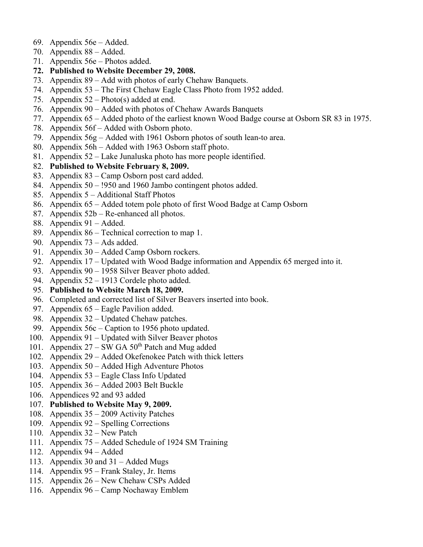- 69. Appendix 56e Added.
- 70. Appendix 88 Added.
- 71. Appendix 56e Photos added.
- **72. Published to Website December 29, 2008.**
- 73. Appendix 89 Add with photos of early Chehaw Banquets.
- 74. Appendix 53 The First Chehaw Eagle Class Photo from 1952 added.
- 75. Appendix 52 Photo(s) added at end.
- 76. Appendix 90 Added with photos of Chehaw Awards Banquets
- 77. Appendix 65 Added photo of the earliest known Wood Badge course at Osborn SR 83 in 1975.
- 78. Appendix 56f Added with Osborn photo.
- 79. Appendix 56g Added with 1961 Osborn photos of south lean-to area.
- 80. Appendix 56h Added with 1963 Osborn staff photo.
- 81. Appendix 52 Lake Junaluska photo has more people identified.
- 82. **Published to Website February 8, 2009.**
- 83. Appendix 83 Camp Osborn post card added.
- 84. Appendix 50 !950 and 1960 Jambo contingent photos added.
- 85. Appendix 5 Additional Staff Photos
- 86. Appendix 65 Added totem pole photo of first Wood Badge at Camp Osborn
- 87. Appendix 52b Re-enhanced all photos.
- 88. Appendix 91 Added.
- 89. Appendix 86 Technical correction to map 1.
- 90. Appendix 73 Ads added.
- 91. Appendix 30 Added Camp Osborn rockers.
- 92. Appendix 17 Updated with Wood Badge information and Appendix 65 merged into it.
- 93. Appendix 90 1958 Silver Beaver photo added.
- 94. Appendix 52 1913 Cordele photo added.
- 95. **Published to Website March 18, 2009.**
- 96. Completed and corrected list of Silver Beavers inserted into book.
- 97. Appendix 65 Eagle Pavilion added.
- 98. Appendix 32 Updated Chehaw patches.
- 99. Appendix 56c Caption to 1956 photo updated.
- 100. Appendix 91 Updated with Silver Beaver photos
- 101. Appendix  $27 SW GA 50<sup>th</sup>$  Patch and Mug added
- 102. Appendix 29 Added Okefenokee Patch with thick letters
- 103. Appendix 50 Added High Adventure Photos
- 104. Appendix 53 Eagle Class Info Updated
- 105. Appendix 36 Added 2003 Belt Buckle
- 106. Appendices 92 and 93 added
- 107. **Published to Website May 9, 2009.**
- 108. Appendix 35 2009 Activity Patches
- 109. Appendix 92 Spelling Corrections
- 110. Appendix 32 New Patch
- 111. Appendix 75 Added Schedule of 1924 SM Training
- 112. Appendix 94 Added
- 113. Appendix 30 and 31 Added Mugs
- 114. Appendix 95 Frank Staley, Jr. Items
- 115. Appendix 26 New Chehaw CSPs Added
- 116. Appendix 96 Camp Nochaway Emblem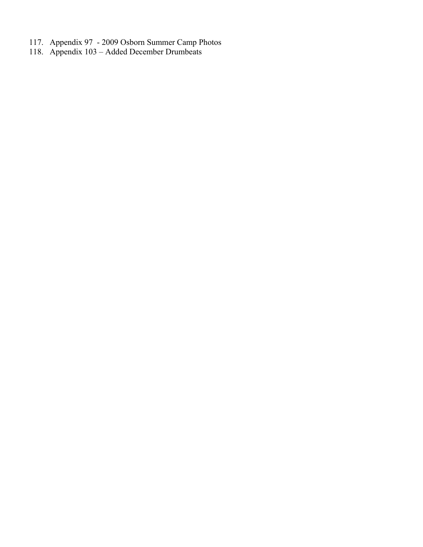- 117. Appendix 97 2009 Osborn Summer Camp Photos
- 118. Appendix 103 Added December Drumbeats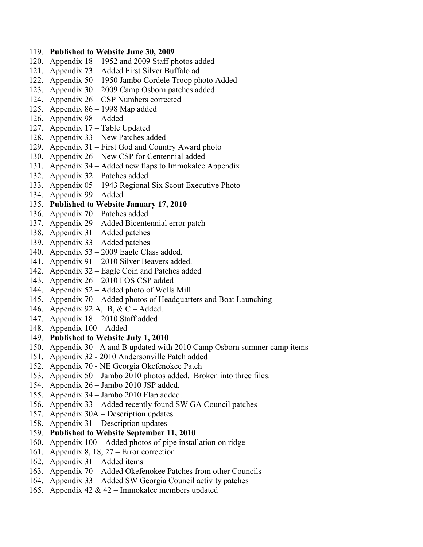#### 119. **Published to Website June 30, 2009**

- 120. Appendix 18 1952 and 2009 Staff photos added
- 121. Appendix 73 Added First Silver Buffalo ad
- 122. Appendix 50 1950 Jambo Cordele Troop photo Added
- 123. Appendix 30 2009 Camp Osborn patches added
- 124. Appendix 26 CSP Numbers corrected
- 125. Appendix 86 1998 Map added
- 126. Appendix 98 Added
- 127. Appendix 17 Table Updated
- 128. Appendix 33 New Patches added
- 129. Appendix 31 First God and Country Award photo
- 130. Appendix 26 New CSP for Centennial added
- 131. Appendix 34 Added new flaps to Immokalee Appendix
- 132. Appendix 32 Patches added
- 133. Appendix 05 1943 Regional Six Scout Executive Photo
- 134. Appendix 99 Added
- 135. **Published to Website January 17, 2010**
- 136. Appendix 70 Patches added
- 137. Appendix 29 Added Bicentennial error patch
- 138. Appendix 31 Added patches
- 139. Appendix 33 Added patches
- 140. Appendix 53 2009 Eagle Class added.
- 141. Appendix 91 2010 Silver Beavers added.
- 142. Appendix 32 Eagle Coin and Patches added
- 143. Appendix 26 2010 FOS CSP added
- 144. Appendix 52 Added photo of Wells Mill
- 145. Appendix 70 Added photos of Headquarters and Boat Launching
- 146. Appendix 92 A, B, & C Added.
- 147. Appendix 18 2010 Staff added
- 148. Appendix 100 Added
- 149. **Published to Website July 1, 2010**
- 150. Appendix 30 A and B updated with 2010 Camp Osborn summer camp items
- 151. Appendix 32 2010 Andersonville Patch added
- 152. Appendix 70 NE Georgia Okefenokee Patch
- 153. Appendix 50 Jambo 2010 photos added. Broken into three files.
- 154. Appendix 26 Jambo 2010 JSP added.
- 155. Appendix 34 Jambo 2010 Flap added.
- 156. Appendix 33 Added recently found SW GA Council patches
- 157. Appendix 30A Description updates
- 158. Appendix 31 Description updates
- 159. **Published to Website September 11, 2010**
- 160. Appendix 100 Added photos of pipe installation on ridge
- 161. Appendix 8, 18, 27 Error correction
- 162. Appendix 31 Added items
- 163. Appendix 70 Added Okefenokee Patches from other Councils
- 164. Appendix 33 Added SW Georgia Council activity patches
- 165. Appendix 42 & 42 Immokalee members updated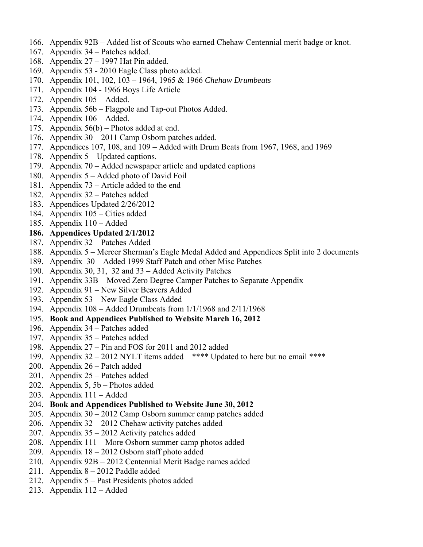- 166. Appendix 92B Added list of Scouts who earned Chehaw Centennial merit badge or knot.
- 167. Appendix 34 Patches added.
- 168. Appendix 27 1997 Hat Pin added.
- 169. Appendix 53 2010 Eagle Class photo added.
- 170. Appendix 101, 102, 103 1964, 1965 & 1966 *Chehaw Drumbeats*
- 171. Appendix 104 1966 Boys Life Article
- 172. Appendix 105 Added.
- 173. Appendix 56b Flagpole and Tap-out Photos Added.
- 174. Appendix 106 Added.
- 175. Appendix 56(b) Photos added at end.
- 176. Appendix 30 2011 Camp Osborn patches added.
- 177. Appendices 107, 108, and 109 Added with Drum Beats from 1967, 1968, and 1969
- 178. Appendix 5 Updated captions.
- 179. Appendix 70 Added newspaper article and updated captions
- 180. Appendix 5 Added photo of David Foil
- 181. Appendix 73 Article added to the end
- 182. Appendix 32 Patches added
- 183. Appendices Updated 2/26/2012
- 184. Appendix 105 Cities added
- 185. Appendix 110 Added

#### **186. Appendices Updated 2/1/2012**

- 187. Appendix 32 Patches Added
- 188. Appendix 5 Mercer Sherman's Eagle Medal Added and Appendices Split into 2 documents
- 189. Appendix 30 Added 1999 Staff Patch and other Misc Patches
- 190. Appendix 30, 31, 32 and 33 Added Activity Patches
- 191. Appendix 33B Moved Zero Degree Camper Patches to Separate Appendix
- 192. Appendix 91 New Silver Beavers Added
- 193. Appendix 53 New Eagle Class Added
- 194. Appendix 108 Added Drumbeats from 1/1/1968 and 2/11/1968
- 195. **Book and Appendices Published to Website March 16, 2012**
- 196. Appendix 34 Patches added
- 197. Appendix 35 Patches added
- 198. Appendix 27 Pin and FOS for 2011 and 2012 added
- 199. Appendix 32 2012 NYLT items added \*\*\*\* Updated to here but no email \*\*\*\*
- 200. Appendix 26 Patch added
- 201. Appendix 25 Patches added
- 202. Appendix 5, 5b Photos added
- 203. Appendix 111 Added
- 204. **Book and Appendices Published to Website June 30, 2012**
- 205. Appendix 30 2012 Camp Osborn summer camp patches added
- 206. Appendix 32 2012 Chehaw activity patches added
- 207. Appendix 35 2012 Activity patches added
- 208. Appendix 111 More Osborn summer camp photos added
- 209. Appendix 18 2012 Osborn staff photo added
- 210. Appendix 92B 2012 Centennial Merit Badge names added
- 211. Appendix 8 2012 Paddle added
- 212. Appendix 5 Past Presidents photos added
- 213. Appendix 112 Added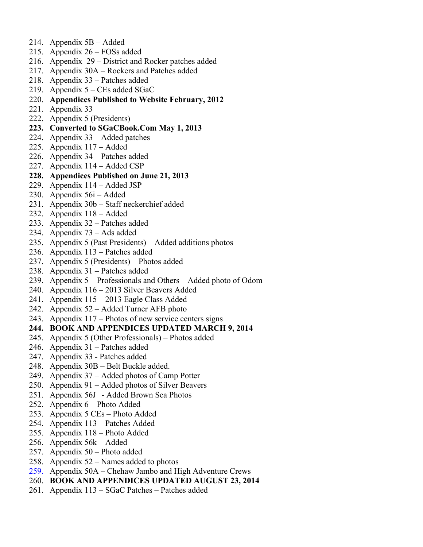- 214. Appendix 5B Added
- 215. Appendix 26 FOSs added
- 216. Appendix 29 District and Rocker patches added
- 217. Appendix 30A Rockers and Patches added
- 218. Appendix 33 Patches added
- 219. Appendix 5 CEs added SGaC
- 220. **Appendices Published to Website February, 2012**
- 221. Appendix 33
- 222. Appendix 5 (Presidents)
- **223. Converted to SGaCBook.Com May 1, 2013**
- 224. Appendix 33 Added patches
- 225. Appendix 117 Added
- 226. Appendix 34 Patches added
- 227. Appendix 114 Added CSP
- **228. Appendices Published on June 21, 2013**
- 229. Appendix 114 Added JSP
- 230. Appendix 56i Added
- 231. Appendix 30b Staff neckerchief added
- 232. Appendix 118 Added
- 233. Appendix 32 Patches added
- 234. Appendix 73 Ads added
- 235. Appendix 5 (Past Presidents) Added additions photos
- 236. Appendix 113 Patches added
- 237. Appendix 5 (Presidents) Photos added
- 238. Appendix 31 Patches added
- 239. Appendix 5 Professionals and Others Added photo of Odom
- 240. Appendix 116 2013 Silver Beavers Added
- 241. Appendix 115 2013 Eagle Class Added
- 242. Appendix 52 Added Turner AFB photo
- 243. Appendix 117 Photos of new service centers signs
- **244. BOOK AND APPENDICES UPDATED MARCH 9, 2014**
- 245. Appendix 5 (Other Professionals) Photos added
- 246. Appendix 31 Patches added
- 247. Appendix 33 Patches added
- 248. Appendix 30B Belt Buckle added.
- 249. Appendix 37 Added photos of Camp Potter
- 250. Appendix 91 Added photos of Silver Beavers
- 251. Appendix 56J Added Brown Sea Photos
- 252. Appendix 6 Photo Added
- 253. Appendix 5 CEs Photo Added
- 254. Appendix 113 Patches Added
- 255. Appendix 118 Photo Added
- 256. Appendix 56k Added
- 257. Appendix 50 Photo added
- 258. Appendix 52 Names added to photos
- 259. Appendix 50A Chehaw Jambo and High Adventure Crews
- 260. **BOOK AND APPENDICES UPDATED AUGUST 23, 2014**
- 261. Appendix 113 SGaC Patches Patches added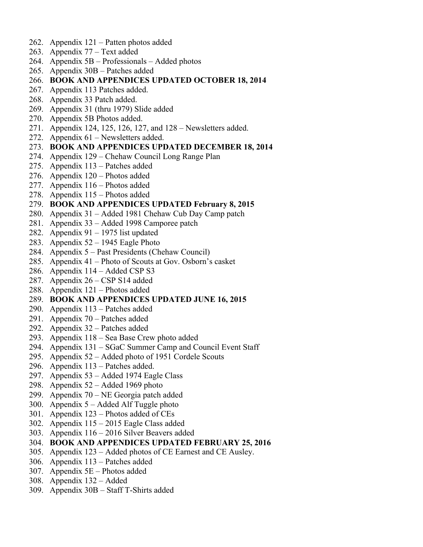- 262. Appendix 121 Patten photos added
- 263. Appendix 77 Text added
- 264. Appendix 5B Professionals Added photos
- 265. Appendix 30B Patches added

#### 266. **BOOK AND APPENDICES UPDATED OCTOBER 18, 2014**

- 267. Appendix 113 Patches added.
- 268. Appendix 33 Patch added.
- 269. Appendix 31 (thru 1979) Slide added
- 270. Appendix 5B Photos added.
- 271. Appendix 124, 125, 126, 127, and 128 Newsletters added.
- 272. Appendix 61 Newsletters added.

#### 273. **BOOK AND APPENDICES UPDATED DECEMBER 18, 2014**

- 274. Appendix 129 Chehaw Council Long Range Plan
- 275. Appendix 113 Patches added
- 276. Appendix 120 Photos added
- 277. Appendix 116 Photos added
- 278. Appendix 115 Photos added

#### 279. **BOOK AND APPENDICES UPDATED February 8, 2015**

- 280. Appendix 31 Added 1981 Chehaw Cub Day Camp patch
- 281. Appendix 33 Added 1998 Camporee patch
- 282. Appendix 91 1975 list updated
- 283. Appendix 52 1945 Eagle Photo
- 284. Appendix 5 Past Presidents (Chehaw Council)
- 285. Appendix 41 Photo of Scouts at Gov. Osborn's casket
- 286. Appendix 114 Added CSP S3
- 287. Appendix 26 CSP S14 added
- 288. Appendix 121 Photos added

### 289. **BOOK AND APPENDICES UPDATED JUNE 16, 2015**

- 290. Appendix 113 Patches added
- 291. Appendix 70 Patches added
- 292. Appendix 32 Patches added
- 293. Appendix 118 Sea Base Crew photo added
- 294. Appendix 131 SGaC Summer Camp and Council Event Staff
- 295. Appendix 52 Added photo of 1951 Cordele Scouts
- 296. Appendix 113 Patches added.
- 297. Appendix 53 Added 1974 Eagle Class
- 298. Appendix 52 Added 1969 photo
- 299. Appendix 70 NE Georgia patch added
- 300. Appendix 5 Added Alf Tuggle photo
- 301. Appendix 123 Photos added of CEs
- 302. Appendix 115 2015 Eagle Class added
- 303. Appendix 116 2016 Silver Beavers added
- 304. **BOOK AND APPENDICES UPDATED FEBRUARY 25, 2016**
- 305. Appendix 123 Added photos of CE Earnest and CE Ausley.
- 306. Appendix 113 Patches added
- 307. Appendix 5E Photos added
- 308. Appendix 132 Added
- 309. Appendix 30B Staff T-Shirts added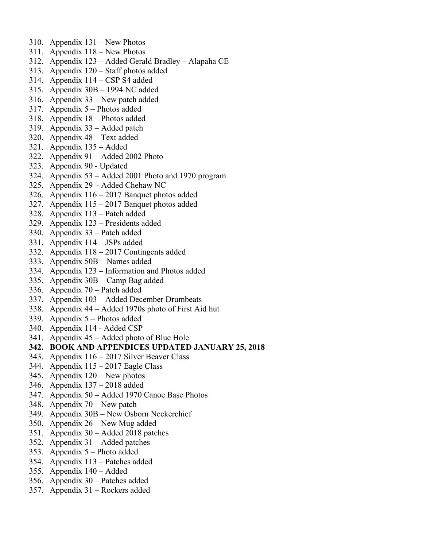- 310. Appendix 131 New Photos
- 311. Appendix 118 New Photos
- 312. Appendix 123 Added Gerald Bradley Alapaha CE
- 313. Appendix 120 Staff photos added
- 314. Appendix 114 CSP S4 added
- 315. Appendix 30B 1994 NC added
- 316. Appendix 33 New patch added
- 317. Appendix 5 Photos added
- 318. Appendix 18 Photos added
- 319. Appendix 33 Added patch
- 320. Appendix 48 Text added
- 321. Appendix 135 Added
- 322. Appendix 91 Added 2002 Photo
- 323. Appendix 90 Updated
- 324. Appendix 53 Added 2001 Photo and 1970 program
- 325. Appendix 29 Added Chehaw NC
- 326. Appendix 116 2017 Banquet photos added
- 327. Appendix 115 2017 Banquet photos added
- 328. Appendix 113 Patch added
- 329. Appendix 123 Presidents added
- 330. Appendix 33 Patch added
- 331. Appendix 114 JSPs added
- 332. Appendix 118 2017 Contingents added
- 333. Appendix 50B Names added
- 334. Appendix 123 Information and Photos added
- 335. Appendix 30B Camp Bag added
- 336. Appendix 70 Patch added
- 337. Appendix 103 Added December Drumbeats
- 338. Appendix 44 Added 1970s photo of First Aid hut
- 339. Appendix 5 Photos added
- 340. Appendix 114 Added CSP
- 341. Appendix 45 Added photo of Blue Hole
- **342. BOOK AND APPENDICES UPDATED JANUARY 25, 2018**
- 343. Appendix 116 2017 Silver Beaver Class
- 344. Appendix 115 2017 Eagle Class
- 345. Appendix 120 New photos
- 346. Appendix 137 2018 added
- 347. Appendix 50 Added 1970 Canoe Base Photos
- 348. Appendix 70 New patch
- 349. Appendix 30B New Osborn Neckerchief
- 350. Appendix 26 New Mug added
- 351. Appendix 30 Added 2018 patches
- 352. Appendix 31 Added patches
- 353. Appendix 5 Photo added
- 354. Appendix 113 Patches added
- 355. Appendix 140 Added
- 356. Appendix 30 Patches added
- 357. Appendix 31 Rockers added